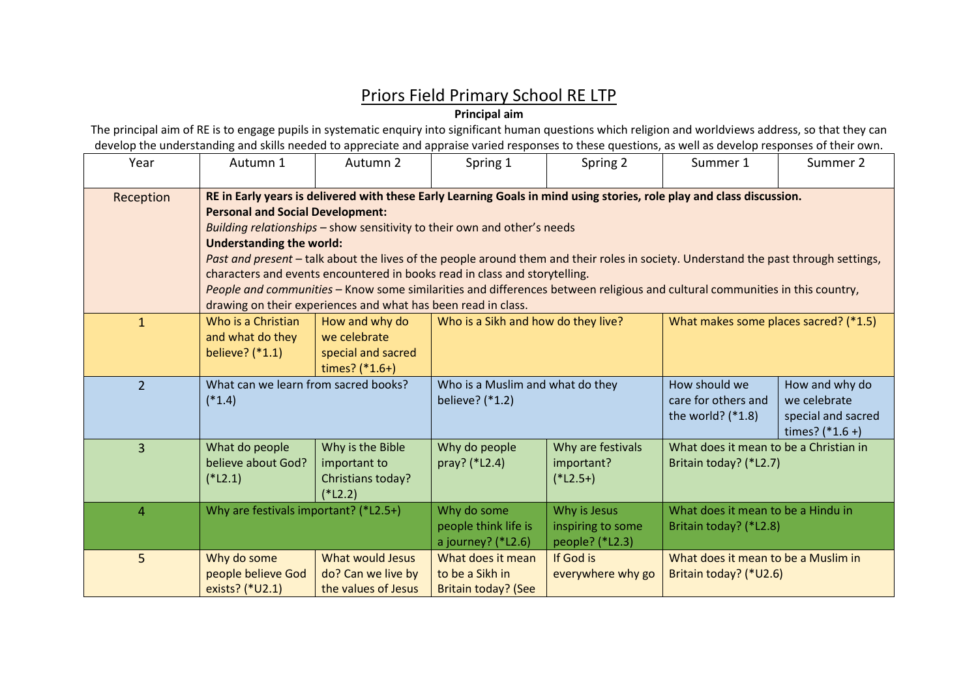## Priors Field Primary School RE LTP

**Principal aim**

The principal aim of RE is to engage pupils in systematic enquiry into significant human questions which religion and worldviews address, so that they can develop the understanding and skills needed to appreciate and appraise varied responses to these questions, as well as develop responses of their own.

| Year           | Autumn 1                                                                                                                                                                                                                                                                                                                                                                                                                                                                                                                                                                                                                                                                                             | Autumn 2                                                                 | Spring 1                                                    | Spring 2                                             | Summer 1                                                         | Summer 2                                                                  |  |  |  |
|----------------|------------------------------------------------------------------------------------------------------------------------------------------------------------------------------------------------------------------------------------------------------------------------------------------------------------------------------------------------------------------------------------------------------------------------------------------------------------------------------------------------------------------------------------------------------------------------------------------------------------------------------------------------------------------------------------------------------|--------------------------------------------------------------------------|-------------------------------------------------------------|------------------------------------------------------|------------------------------------------------------------------|---------------------------------------------------------------------------|--|--|--|
| Reception      | RE in Early years is delivered with these Early Learning Goals in mind using stories, role play and class discussion.<br><b>Personal and Social Development:</b><br>Building relationships - show sensitivity to their own and other's needs<br><b>Understanding the world:</b><br>Past and present - talk about the lives of the people around them and their roles in society. Understand the past through settings,<br>characters and events encountered in books read in class and storytelling.<br>People and communities - Know some similarities and differences between religious and cultural communities in this country,<br>drawing on their experiences and what has been read in class. |                                                                          |                                                             |                                                      |                                                                  |                                                                           |  |  |  |
| $\mathbf{1}$   | Who is a Christian<br>and what do they<br>believe? (*1.1)                                                                                                                                                                                                                                                                                                                                                                                                                                                                                                                                                                                                                                            | How and why do<br>we celebrate<br>special and sacred<br>times? $(*1.6+)$ | Who is a Sikh and how do they live?                         |                                                      | What makes some places sacred? (*1.5)                            |                                                                           |  |  |  |
| $\overline{2}$ | What can we learn from sacred books?<br>$(*1.4)$                                                                                                                                                                                                                                                                                                                                                                                                                                                                                                                                                                                                                                                     |                                                                          | Who is a Muslim and what do they<br>believe? (*1.2)         |                                                      | How should we<br>care for others and<br>the world? $(*1.8)$      | How and why do<br>we celebrate<br>special and sacred<br>times? $(*1.6 +)$ |  |  |  |
| 3              | What do people<br>believe about God?<br>$(*L2.1)$                                                                                                                                                                                                                                                                                                                                                                                                                                                                                                                                                                                                                                                    | Why is the Bible<br>important to<br>Christians today?<br>$(*L2.2)$       | Why do people<br>pray? (*L2.4)                              | Why are festivals<br>important?<br>$(*L2.5+)$        | What does it mean to be a Christian in<br>Britain today? (*L2.7) |                                                                           |  |  |  |
| $\overline{4}$ | Why are festivals important? (*L2.5+)                                                                                                                                                                                                                                                                                                                                                                                                                                                                                                                                                                                                                                                                |                                                                          | Why do some<br>people think life is<br>a journey? (*L2.6)   | Why is Jesus<br>inspiring to some<br>people? (*L2.3) | What does it mean to be a Hindu in<br>Britain today? (*L2.8)     |                                                                           |  |  |  |
| 5              | Why do some<br>people believe God<br>exists? (*U2.1)                                                                                                                                                                                                                                                                                                                                                                                                                                                                                                                                                                                                                                                 | <b>What would Jesus</b><br>do? Can we live by<br>the values of Jesus     | What does it mean<br>to be a Sikh in<br>Britain today? (See | If God is<br>everywhere why go                       | What does it mean to be a Muslim in<br>Britain today? (*U2.6)    |                                                                           |  |  |  |